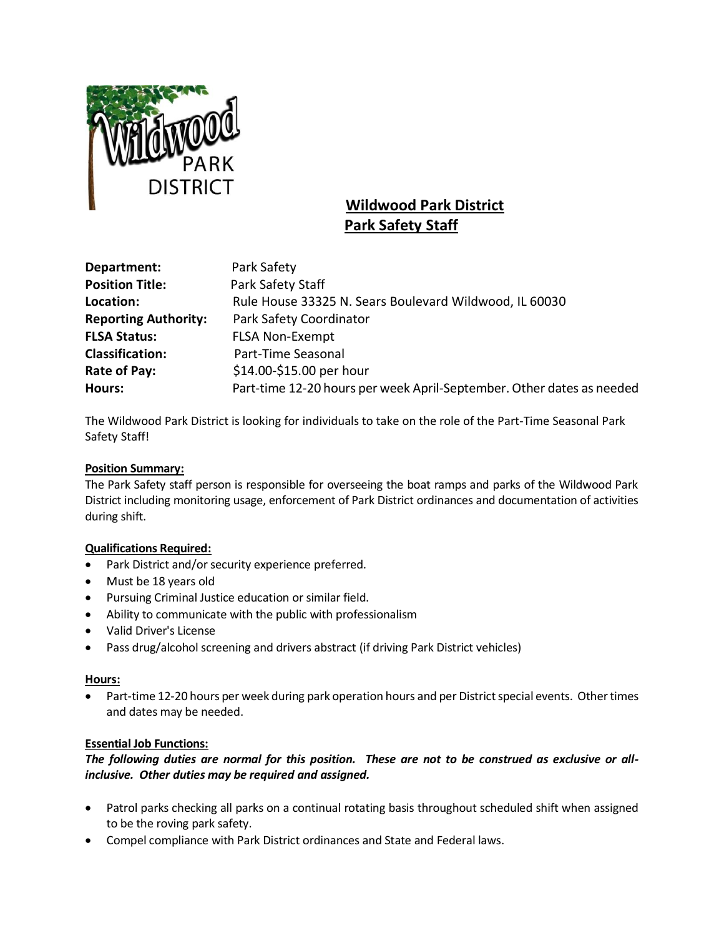

# **Wildwood Park District Park Safety Staff**

| Department:                 | Park Safety                                                           |
|-----------------------------|-----------------------------------------------------------------------|
| <b>Position Title:</b>      | Park Safety Staff                                                     |
| Location:                   | Rule House 33325 N. Sears Boulevard Wildwood, IL 60030                |
| <b>Reporting Authority:</b> | Park Safety Coordinator                                               |
| <b>FLSA Status:</b>         | <b>FLSA Non-Exempt</b>                                                |
| <b>Classification:</b>      | Part-Time Seasonal                                                    |
| Rate of Pay:                | \$14.00-\$15.00 per hour                                              |
| Hours:                      | Part-time 12-20 hours per week April-September. Other dates as needed |

The Wildwood Park District is looking for individuals to take on the role of the Part-Time Seasonal Park Safety Staff!

## **Position Summary:**

The Park Safety staff person is responsible for overseeing the boat ramps and parks of the Wildwood Park District including monitoring usage, enforcement of Park District ordinances and documentation of activities during shift.

## **Qualifications Required:**

- Park District and/or security experience preferred.
- Must be 18 years old
- Pursuing Criminal Justice education or similar field.
- Ability to communicate with the public with professionalism
- Valid Driver's License
- Pass drug/alcohol screening and drivers abstract (if driving Park District vehicles)

## **Hours:**

• Part-time 12-20 hours per week during park operation hours and per District special events. Other times and dates may be needed.

## **Essential Job Functions:**

## *The following duties are normal for this position. These are not to be construed as exclusive or allinclusive. Other duties may be required and assigned.*

- Patrol parks checking all parks on a continual rotating basis throughout scheduled shift when assigned to be the roving park safety.
- Compel compliance with Park District ordinances and State and Federal laws.